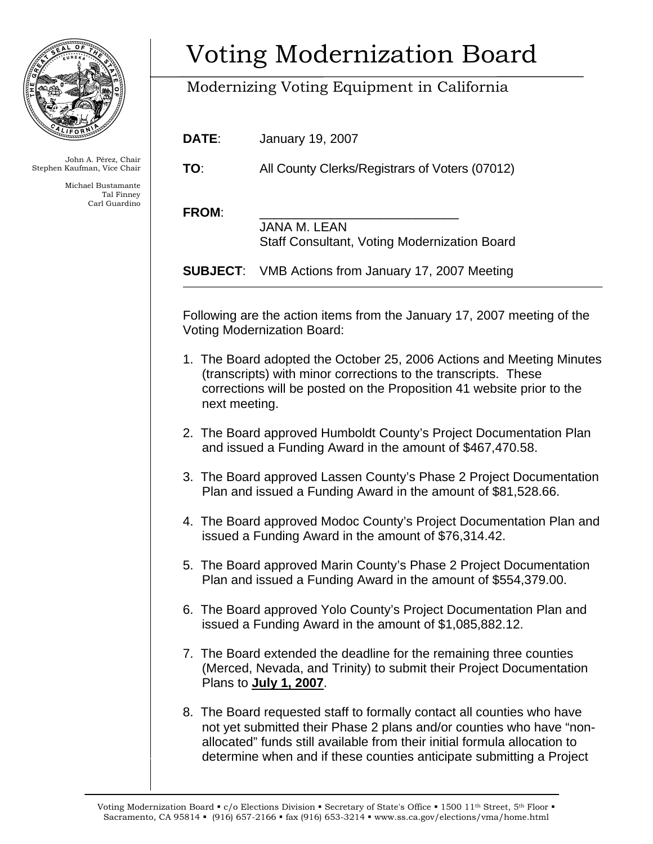

John A. Pérez, Chair Stephen Kaufman, Vice Chair

> Michael Bustamante Tal Finney Carl Guardino

## Voting Modernization Board

## Modernizing Voting Equipment in California

**DATE**: January 19, 2007

**TO**: All County Clerks/Registrars of Voters (07012)

FROM:

 JANA M. LEAN Staff Consultant, Voting Modernization Board

**SUBJECT**: VMB Actions from January 17, 2007 Meeting

Following are the action items from the January 17, 2007 meeting of the Voting Modernization Board:

- 1. The Board adopted the October 25, 2006 Actions and Meeting Minutes (transcripts) with minor corrections to the transcripts. These corrections will be posted on the Proposition 41 website prior to the next meeting.
- 2. The Board approved Humboldt County's Project Documentation Plan and issued a Funding Award in the amount of \$467,470.58.
- 3. The Board approved Lassen County's Phase 2 Project Documentation Plan and issued a Funding Award in the amount of \$81,528.66.
- 4. The Board approved Modoc County's Project Documentation Plan and issued a Funding Award in the amount of \$76,314.42.
- 5. The Board approved Marin County's Phase 2 Project Documentation Plan and issued a Funding Award in the amount of \$554,379.00.
- 6. The Board approved Yolo County's Project Documentation Plan and issued a Funding Award in the amount of \$1,085,882.12.
- 7. The Board extended the deadline for the remaining three counties (Merced, Nevada, and Trinity) to submit their Project Documentation Plans to **July 1, 2007**.
- 8. The Board requested staff to formally contact all counties who have not yet submitted their Phase 2 plans and/or counties who have "nonallocated" funds still available from their initial formula allocation to determine when and if these counties anticipate submitting a Project